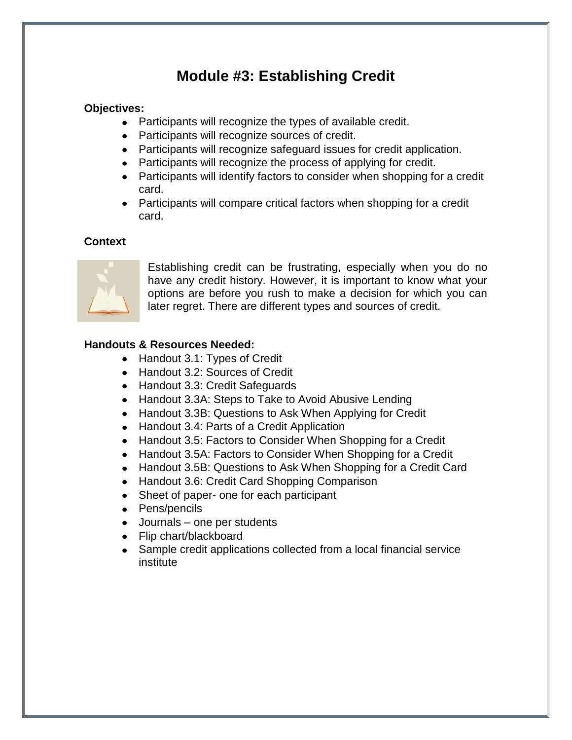## **Module #3: Establishing Credit**

#### **Objectives:**

- Participants will recognize the types of available credit.
- Participants will recognize sources of credit.
- Participants will recognize safeguard issues for credit application.
- Participants will recognize the process of applying for credit.
- Participants will identify factors to consider when shopping for a credit card.
- Participants will compare critical factors when shopping for a credit card.

#### **Context**



Establishing credit can be frustrating, especially when you do no have any credit history. However, it is important to know what your options are before you rush to make a decision for which you can later regret. There are different types and sources of credit.

#### **Handouts & Resources Needed:**

- Handout 3.1: Types of Credit
- Handout 3.2: Sources of Credit
- Handout 3.3: Credit Safeguards
- Handout 3.3A: Steps to Take to Avoid Abusive Lending
- Handout 3.3B: Questions to Ask When Applying for Credit
- Handout 3.4: Parts of a Credit Application
- Handout 3.5: Factors to Consider When Shopping for a Credit
- Handout 3.5A: Factors to Consider When Shopping for a Credit
- Handout 3.5B: Questions to Ask When Shopping for a Credit Card
- Handout 3.6: Credit Card Shopping Comparison
- Sheet of paper- one for each participant
- Pens/pencils
- Journals one per students
- Flip chart/blackboard
- Sample credit applications collected from a local financial service institute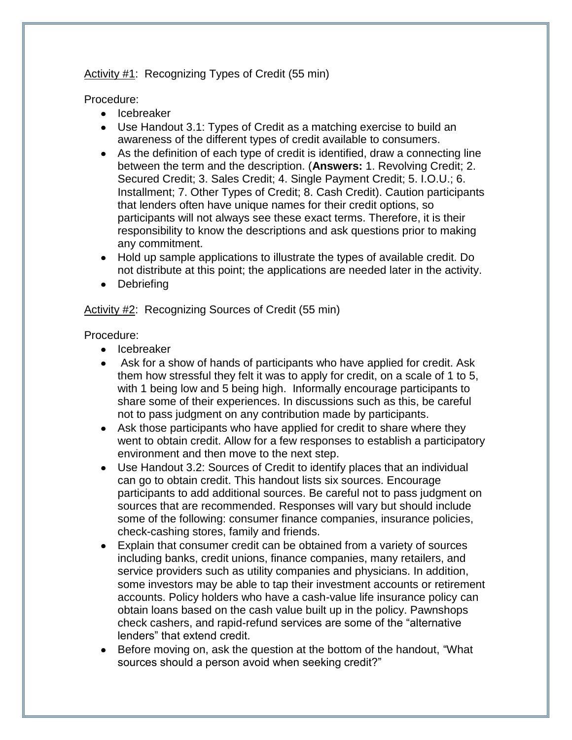Activity #1: Recognizing Types of Credit (55 min)

Procedure:

- Icebreaker
- Use Handout 3.1: Types of Credit as a matching exercise to build an awareness of the different types of credit available to consumers.
- As the definition of each type of credit is identified, draw a connecting line between the term and the description. (**Answers:** 1. Revolving Credit; 2. Secured Credit; 3. Sales Credit; 4. Single Payment Credit; 5. I.O.U.; 6. Installment; 7. Other Types of Credit; 8. Cash Credit). Caution participants that lenders often have unique names for their credit options, so participants will not always see these exact terms. Therefore, it is their responsibility to know the descriptions and ask questions prior to making any commitment.
- Hold up sample applications to illustrate the types of available credit. Do not distribute at this point; the applications are needed later in the activity.
- Debriefing

Activity #2: Recognizing Sources of Credit (55 min)

Procedure:

- Icebreaker
- Ask for a show of hands of participants who have applied for credit. Ask them how stressful they felt it was to apply for credit, on a scale of 1 to 5, with 1 being low and 5 being high. Informally encourage participants to share some of their experiences. In discussions such as this, be careful not to pass judgment on any contribution made by participants.
- Ask those participants who have applied for credit to share where they went to obtain credit. Allow for a few responses to establish a participatory environment and then move to the next step.
- Use Handout 3.2: Sources of Credit to identify places that an individual can go to obtain credit. This handout lists six sources. Encourage participants to add additional sources. Be careful not to pass judgment on sources that are recommended. Responses will vary but should include some of the following: consumer finance companies, insurance policies, check-cashing stores, family and friends.
- Explain that consumer credit can be obtained from a variety of sources including banks, credit unions, finance companies, many retailers, and service providers such as utility companies and physicians. In addition, some investors may be able to tap their investment accounts or retirement accounts. Policy holders who have a cash-value life insurance policy can obtain loans based on the cash value built up in the policy. Pawnshops check cashers, and rapid-refund services are some of the "alternative lenders" that extend credit.
- Before moving on, ask the question at the bottom of the handout, "What sources should a person avoid when seeking credit?"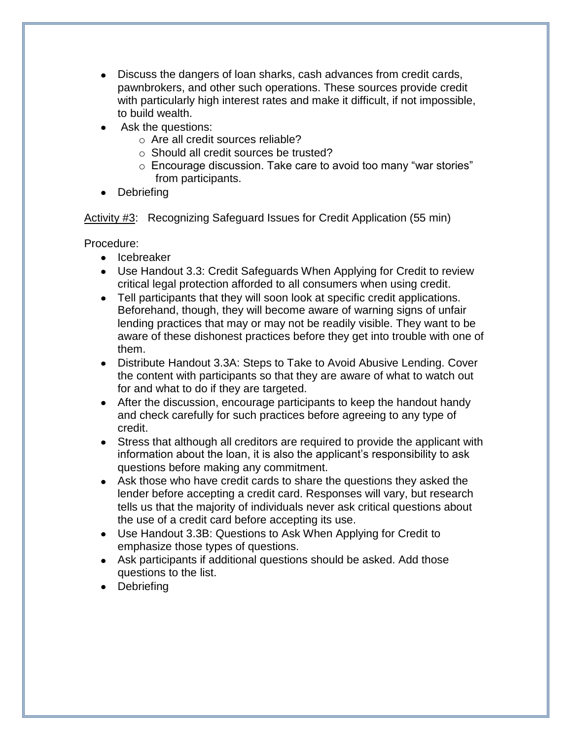- Discuss the dangers of loan sharks, cash advances from credit cards, pawnbrokers, and other such operations. These sources provide credit with particularly high interest rates and make it difficult, if not impossible, to build wealth.
- Ask the questions:
	- o Are all credit sources reliable?
	- o Should all credit sources be trusted?
	- o Encourage discussion. Take care to avoid too many "war stories" from participants.
- Debriefing  $\bullet$

Activity #3: Recognizing Safeguard Issues for Credit Application (55 min)

Procedure:

- Icebreaker
- Use Handout 3.3: Credit Safeguards When Applying for Credit to review critical legal protection afforded to all consumers when using credit.
- Tell participants that they will soon look at specific credit applications. Beforehand, though, they will become aware of warning signs of unfair lending practices that may or may not be readily visible. They want to be aware of these dishonest practices before they get into trouble with one of them.
- Distribute Handout 3.3A: Steps to Take to Avoid Abusive Lending. Cover the content with participants so that they are aware of what to watch out for and what to do if they are targeted.
- After the discussion, encourage participants to keep the handout handy and check carefully for such practices before agreeing to any type of credit.
- Stress that although all creditors are required to provide the applicant with information about the loan, it is also the applicant's responsibility to ask questions before making any commitment.
- Ask those who have credit cards to share the questions they asked the lender before accepting a credit card. Responses will vary, but research tells us that the majority of individuals never ask critical questions about the use of a credit card before accepting its use.
- Use Handout 3.3B: Questions to Ask When Applying for Credit to emphasize those types of questions.
- Ask participants if additional questions should be asked. Add those questions to the list.
- Debriefing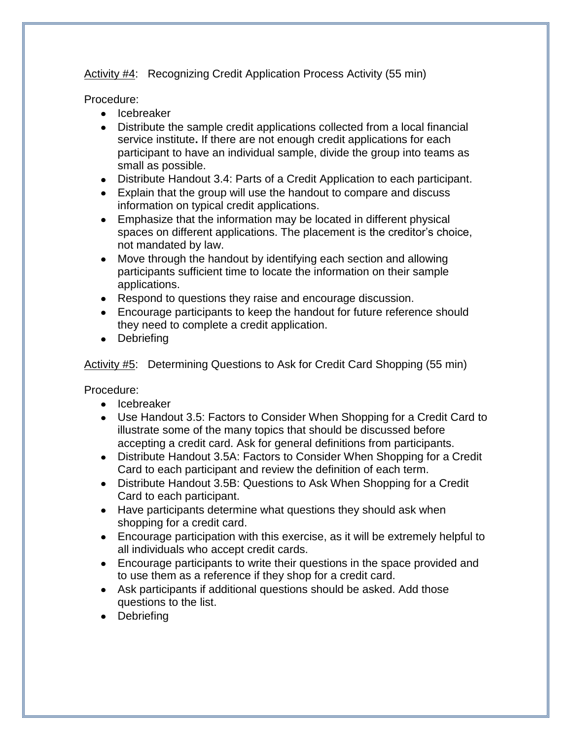Activity #4: Recognizing Credit Application Process Activity (55 min)

Procedure:

- Icebreaker
- Distribute the sample credit applications collected from a local financial service institute**.** If there are not enough credit applications for each participant to have an individual sample, divide the group into teams as small as possible.
- Distribute Handout 3.4: Parts of a Credit Application to each participant.
- Explain that the group will use the handout to compare and discuss information on typical credit applications.
- Emphasize that the information may be located in different physical spaces on different applications. The placement is the creditor's choice, not mandated by law.
- Move through the handout by identifying each section and allowing participants sufficient time to locate the information on their sample applications.
- Respond to questions they raise and encourage discussion.
- Encourage participants to keep the handout for future reference should they need to complete a credit application.
- Debriefing

Activity #5: Determining Questions to Ask for Credit Card Shopping (55 min)

Procedure:

- Icebreaker
- Use Handout 3.5: Factors to Consider When Shopping for a Credit Card to illustrate some of the many topics that should be discussed before accepting a credit card. Ask for general definitions from participants.
- Distribute Handout 3.5A: Factors to Consider When Shopping for a Credit Card to each participant and review the definition of each term.
- Distribute Handout 3.5B: Questions to Ask When Shopping for a Credit Card to each participant.
- Have participants determine what questions they should ask when shopping for a credit card.
- Encourage participation with this exercise, as it will be extremely helpful to all individuals who accept credit cards.
- Encourage participants to write their questions in the space provided and to use them as a reference if they shop for a credit card.
- Ask participants if additional questions should be asked. Add those questions to the list.
- Debriefing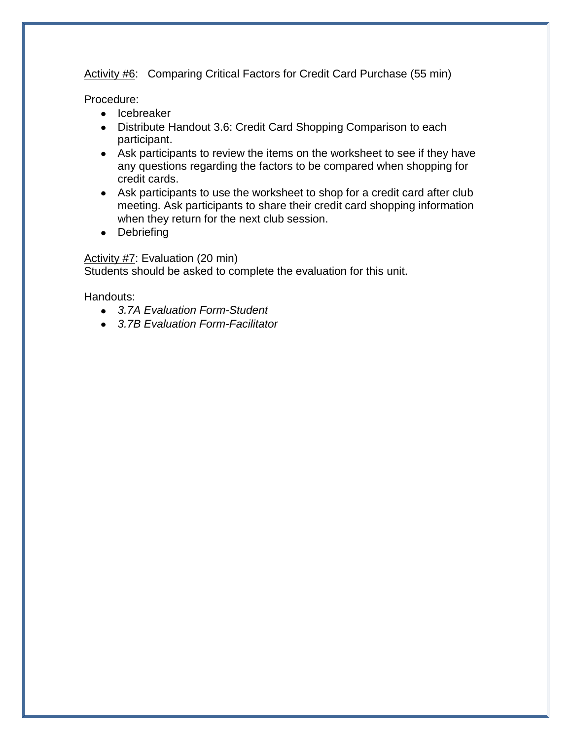Activity #6: Comparing Critical Factors for Credit Card Purchase (55 min)

Procedure:

- Icebreaker
- Distribute Handout 3.6: Credit Card Shopping Comparison to each participant.
- Ask participants to review the items on the worksheet to see if they have any questions regarding the factors to be compared when shopping for credit cards.
- Ask participants to use the worksheet to shop for a credit card after club meeting. Ask participants to share their credit card shopping information when they return for the next club session.
- Debriefing

Activity #7: Evaluation (20 min) Students should be asked to complete the evaluation for this unit.

Handouts:

- *3.7A Evaluation Form-Student*
- *3.7B Evaluation Form-Facilitator*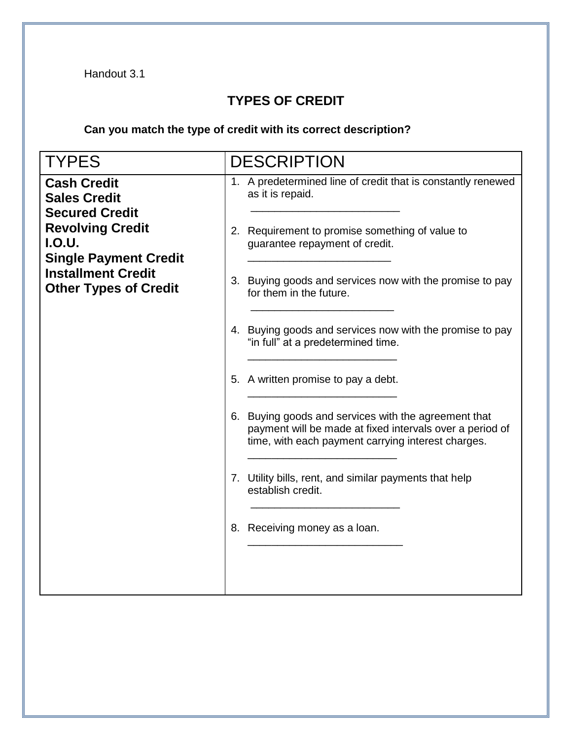### **TYPES OF CREDIT**

**Can you match the type of credit with its correct description?** 

| <b>TYPES</b>                                                                                                                                                                                                | <b>DESCRIPTION</b>                                                                                                                                                                                                                                                                                                                                                                                    |  |  |  |
|-------------------------------------------------------------------------------------------------------------------------------------------------------------------------------------------------------------|-------------------------------------------------------------------------------------------------------------------------------------------------------------------------------------------------------------------------------------------------------------------------------------------------------------------------------------------------------------------------------------------------------|--|--|--|
| <b>Cash Credit</b><br><b>Sales Credit</b><br><b>Secured Credit</b><br><b>Revolving Credit</b><br><b>I.O.U.</b><br><b>Single Payment Credit</b><br><b>Installment Credit</b><br><b>Other Types of Credit</b> | 1. A predetermined line of credit that is constantly renewed<br>as it is repaid.<br>2. Requirement to promise something of value to<br>guarantee repayment of credit.<br>3. Buying goods and services now with the promise to pay<br>for them in the future.<br>4. Buying goods and services now with the promise to pay<br>"in full" at a predetermined time.<br>5. A written promise to pay a debt. |  |  |  |
|                                                                                                                                                                                                             | 6. Buying goods and services with the agreement that<br>payment will be made at fixed intervals over a period of<br>time, with each payment carrying interest charges.<br>7. Utility bills, rent, and similar payments that help<br>establish credit.<br>8. Receiving money as a loan.                                                                                                                |  |  |  |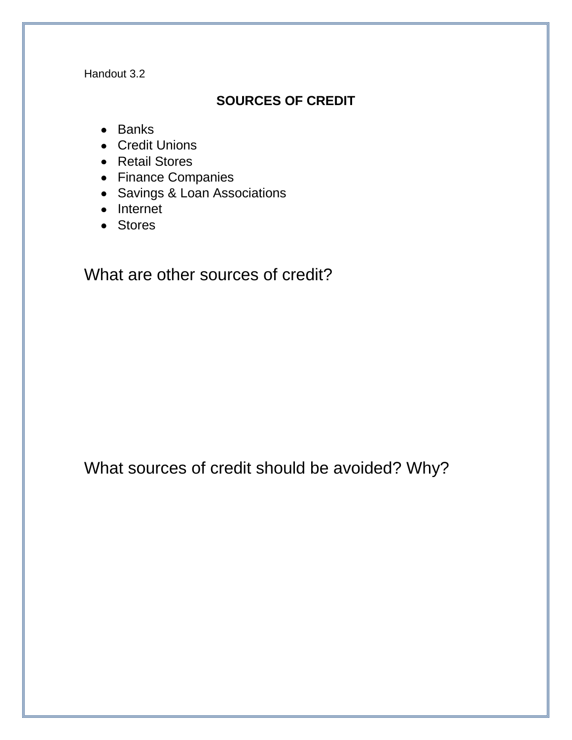#### **SOURCES OF CREDIT**

- Banks
- Credit Unions
- Retail Stores
- Finance Companies
- Savings & Loan Associations
- $\bullet$  Internet
- Stores

What are other sources of credit?

What sources of credit should be avoided? Why?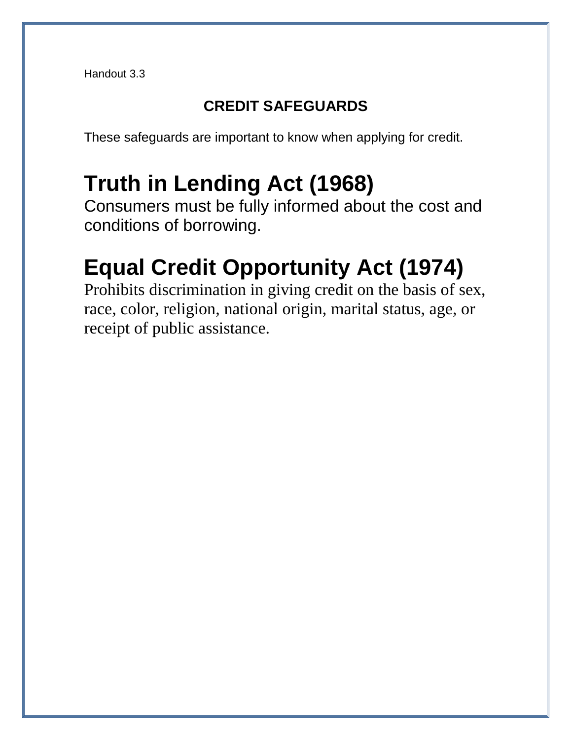# **CREDIT SAFEGUARDS**

These safeguards are important to know when applying for credit.

# **Truth in Lending Act (1968)**

Consumers must be fully informed about the cost and conditions of borrowing.

# **Equal Credit Opportunity Act (1974)**

Prohibits discrimination in giving credit on the basis of sex, race, color, religion, national origin, marital status, age, or receipt of public assistance.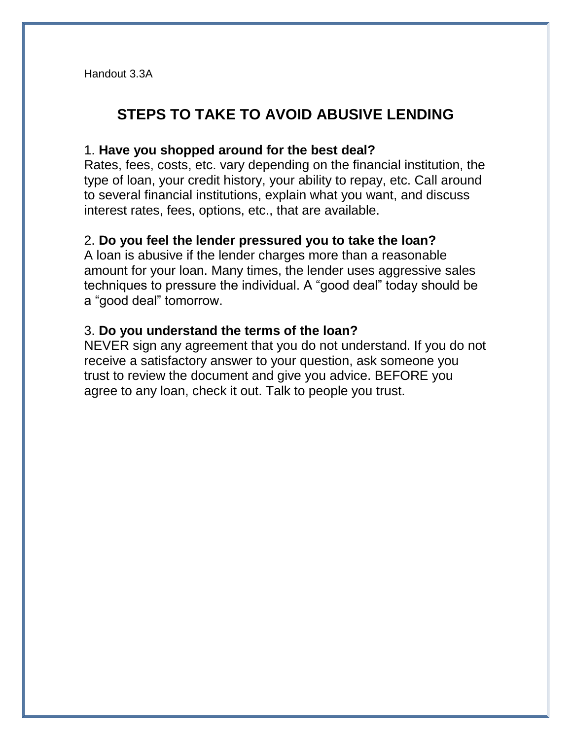# **STEPS TO TAKE TO AVOID ABUSIVE LENDING**

#### 1. **Have you shopped around for the best deal?**

Rates, fees, costs, etc. vary depending on the financial institution, the type of loan, your credit history, your ability to repay, etc. Call around to several financial institutions, explain what you want, and discuss interest rates, fees, options, etc., that are available.

#### 2. **Do you feel the lender pressured you to take the loan?**

A loan is abusive if the lender charges more than a reasonable amount for your loan. Many times, the lender uses aggressive sales techniques to pressure the individual. A "good deal" today should be a "good deal" tomorrow.

#### 3. **Do you understand the terms of the loan?**

NEVER sign any agreement that you do not understand. If you do not receive a satisfactory answer to your question, ask someone you trust to review the document and give you advice. BEFORE you agree to any loan, check it out. Talk to people you trust.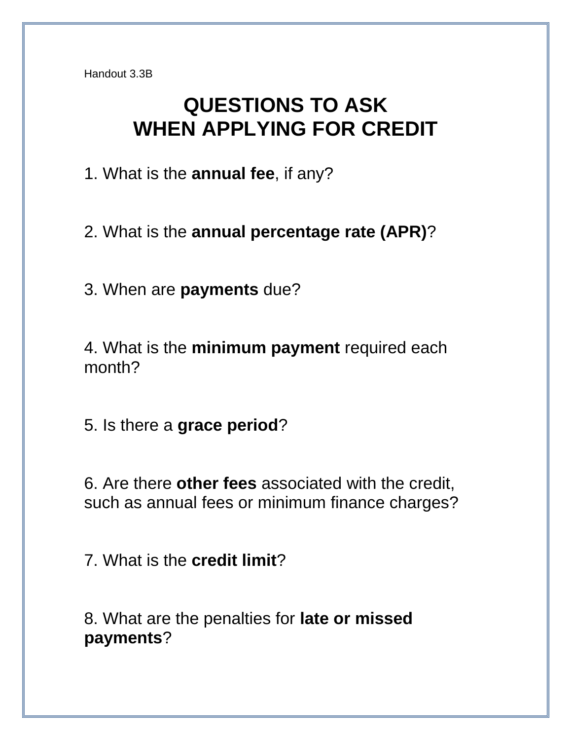# **QUESTIONS TO ASK WHEN APPLYING FOR CREDIT**

1. What is the **annual fee**, if any?

2. What is the **annual percentage rate (APR)**?

3. When are **payments** due?

4. What is the **minimum payment** required each month?

5. Is there a **grace period**?

6. Are there **other fees** associated with the credit, such as annual fees or minimum finance charges?

7. What is the **credit limit**?

8. What are the penalties for **late or missed payments**?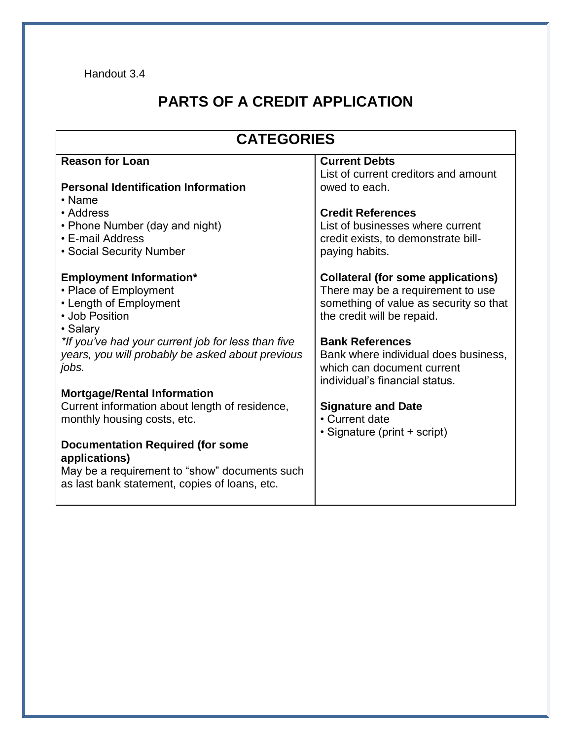# **PARTS OF A CREDIT APPLICATION**

| <b>CATEGORIES</b>                                                                                                                                                                                                                  |                                                                                                                                                                                                                                                        |  |  |  |  |
|------------------------------------------------------------------------------------------------------------------------------------------------------------------------------------------------------------------------------------|--------------------------------------------------------------------------------------------------------------------------------------------------------------------------------------------------------------------------------------------------------|--|--|--|--|
| <b>Reason for Loan</b>                                                                                                                                                                                                             | <b>Current Debts</b><br>List of current creditors and amount                                                                                                                                                                                           |  |  |  |  |
| <b>Personal Identification Information</b><br>• Name                                                                                                                                                                               | owed to each.                                                                                                                                                                                                                                          |  |  |  |  |
| • Address                                                                                                                                                                                                                          | <b>Credit References</b>                                                                                                                                                                                                                               |  |  |  |  |
| • Phone Number (day and night)<br>• E-mail Address                                                                                                                                                                                 | List of businesses where current<br>credit exists, to demonstrate bill-                                                                                                                                                                                |  |  |  |  |
| • Social Security Number                                                                                                                                                                                                           | paying habits.                                                                                                                                                                                                                                         |  |  |  |  |
| <b>Employment Information*</b><br>• Place of Employment<br>• Length of Employment<br>• Job Position<br>· Salary<br>*If you've had your current job for less than five<br>years, you will probably be asked about previous<br>jobs. | <b>Collateral (for some applications)</b><br>There may be a requirement to use<br>something of value as security so that<br>the credit will be repaid.<br><b>Bank References</b><br>Bank where individual does business,<br>which can document current |  |  |  |  |
| <b>Mortgage/Rental Information</b>                                                                                                                                                                                                 | individual's financial status.                                                                                                                                                                                                                         |  |  |  |  |
| Current information about length of residence,<br>monthly housing costs, etc.                                                                                                                                                      | <b>Signature and Date</b><br>• Current date<br>• Signature (print + script)                                                                                                                                                                            |  |  |  |  |
| <b>Documentation Required (for some</b><br>applications)<br>May be a requirement to "show" documents such<br>as last bank statement, copies of loans, etc.                                                                         |                                                                                                                                                                                                                                                        |  |  |  |  |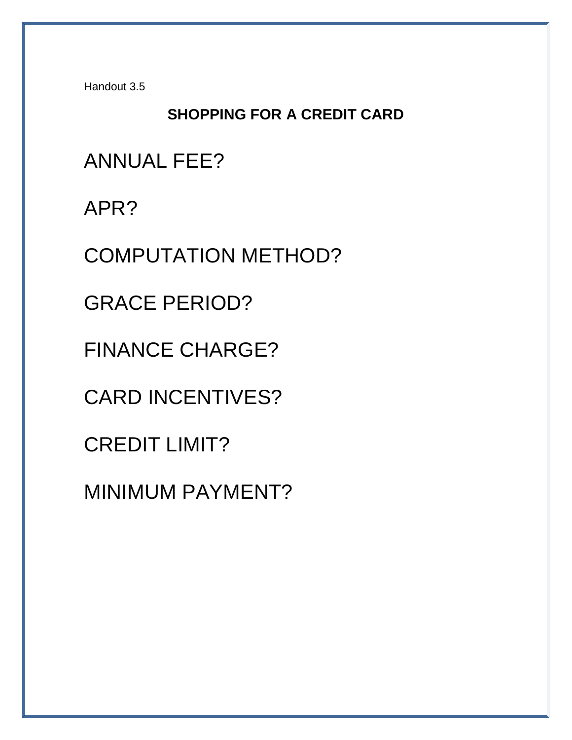# **SHOPPING FOR A CREDIT CARD**

ANNUAL FEE?

APR?

COMPUTATION METHOD?

GRACE PERIOD?

FINANCE CHARGE?

CARD INCENTIVES?

CREDIT LIMIT?

MINIMUM PAYMENT?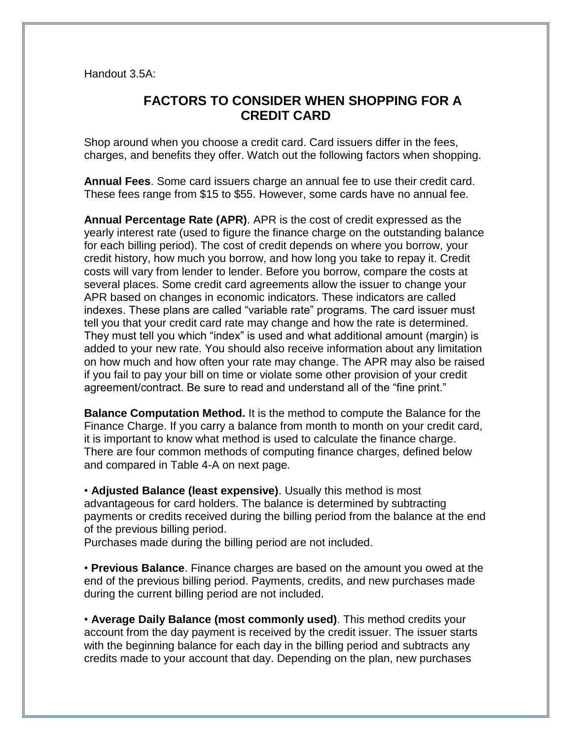Handout 3.5A:

#### **FACTORS TO CONSIDER WHEN SHOPPING FOR A CREDIT CARD**

Shop around when you choose a credit card. Card issuers differ in the fees, charges, and benefits they offer. Watch out the following factors when shopping.

**Annual Fees**. Some card issuers charge an annual fee to use their credit card. These fees range from \$15 to \$55. However, some cards have no annual fee.

**Annual Percentage Rate (APR)**. APR is the cost of credit expressed as the yearly interest rate (used to figure the finance charge on the outstanding balance for each billing period). The cost of credit depends on where you borrow, your credit history, how much you borrow, and how long you take to repay it. Credit costs will vary from lender to lender. Before you borrow, compare the costs at several places. Some credit card agreements allow the issuer to change your APR based on changes in economic indicators. These indicators are called indexes. These plans are called "variable rate" programs. The card issuer must tell you that your credit card rate may change and how the rate is determined. They must tell you which "index" is used and what additional amount (margin) is added to your new rate. You should also receive information about any limitation on how much and how often your rate may change. The APR may also be raised if you fail to pay your bill on time or violate some other provision of your credit agreement/contract. Be sure to read and understand all of the "fine print."

**Balance Computation Method.** It is the method to compute the Balance for the Finance Charge. If you carry a balance from month to month on your credit card, it is important to know what method is used to calculate the finance charge. There are four common methods of computing finance charges, defined below and compared in Table 4-A on next page.

• **Adjusted Balance (least expensive)**. Usually this method is most advantageous for card holders. The balance is determined by subtracting payments or credits received during the billing period from the balance at the end of the previous billing period.

Purchases made during the billing period are not included.

• **Previous Balance**. Finance charges are based on the amount you owed at the end of the previous billing period. Payments, credits, and new purchases made during the current billing period are not included.

• **Average Daily Balance (most commonly used)**. This method credits your account from the day payment is received by the credit issuer. The issuer starts with the beginning balance for each day in the billing period and subtracts any credits made to your account that day. Depending on the plan, new purchases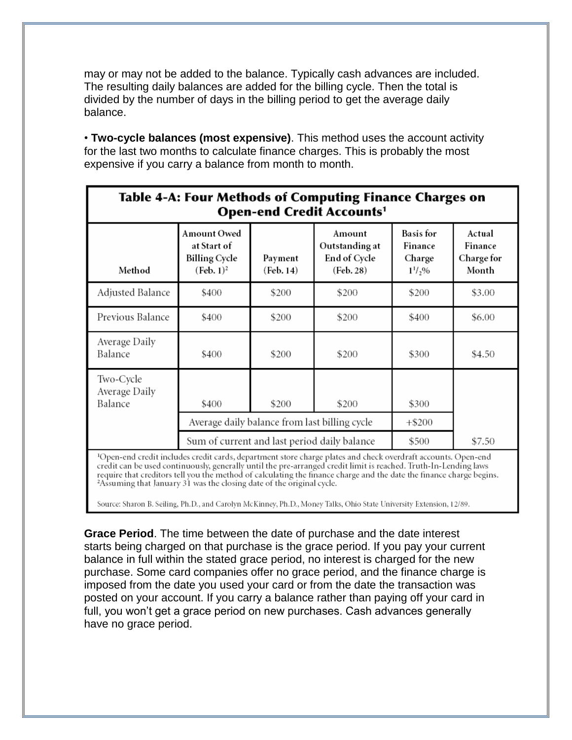may or may not be added to the balance. Typically cash advances are included. The resulting daily balances are added for the billing cycle. Then the total is divided by the number of days in the billing period to get the average daily balance.

• **Two-cycle balances (most expensive)**. This method uses the account activity for the last two months to calculate finance charges. This is probably the most expensive if you carry a balance from month to month.

| Table 4-A: Four Methods of Computing Finance Charges on<br><b>Open-end Credit Accounts1</b>                                                                                                                                                                                                                                                                           |                                                                                               |                      |                                                       |                                                      |                                          |  |  |
|-----------------------------------------------------------------------------------------------------------------------------------------------------------------------------------------------------------------------------------------------------------------------------------------------------------------------------------------------------------------------|-----------------------------------------------------------------------------------------------|----------------------|-------------------------------------------------------|------------------------------------------------------|------------------------------------------|--|--|
| Method                                                                                                                                                                                                                                                                                                                                                                | <b>Amount Owed</b><br>at Start of<br><b>Billing Cycle</b><br>(Feb. 1) <sup>2</sup>            | Payment<br>(Feb. 14) | Amount<br>Outstanding at<br>End of Cycle<br>(Feb. 28) | <b>Basis</b> for<br>Finance<br>Charge<br>$1^{1/2}$ % | Actual<br>Finance<br>Charge for<br>Month |  |  |
| Adjusted Balance                                                                                                                                                                                                                                                                                                                                                      | \$400                                                                                         | \$200                | \$200                                                 | \$200                                                | \$3.00                                   |  |  |
| Previous Balance                                                                                                                                                                                                                                                                                                                                                      | \$400                                                                                         | \$200                | \$200                                                 | \$400                                                | \$6.00                                   |  |  |
| Average Daily<br>Balance                                                                                                                                                                                                                                                                                                                                              | \$400                                                                                         | \$200                | \$200                                                 | \$300                                                | \$4.50                                   |  |  |
| Two-Cycle<br>Average Daily<br>Balance                                                                                                                                                                                                                                                                                                                                 | \$400                                                                                         | \$200                | \$200                                                 | \$300<br>$+$ \$200                                   |                                          |  |  |
|                                                                                                                                                                                                                                                                                                                                                                       | Average daily balance from last billing cycle<br>Sum of current and last period daily balance |                      |                                                       | \$500                                                | \$7.50                                   |  |  |
| <sup>1</sup> Open-end credit includes credit cards, department store charge plates and check overdraft accounts. Open-end<br>credit can be used continuously, generally until the pre-arranged credit limit is reached. Truth-In-Lending laws<br>require that creditors tell you the method of calculating the finance charge and the date the finance charge begins. |                                                                                               |                      |                                                       |                                                      |                                          |  |  |

<sup>2</sup>Assuming that January 31 was the closing date of the original cycle.

Source: Sharon B. Seiling, Ph.D., and Carolyn McKinney, Ph.D., Money Talks, Ohio State University Extension, 12/89.

**Grace Period**. The time between the date of purchase and the date interest starts being charged on that purchase is the grace period. If you pay your current balance in full within the stated grace period, no interest is charged for the new purchase. Some card companies offer no grace period, and the finance charge is imposed from the date you used your card or from the date the transaction was posted on your account. If you carry a balance rather than paying off your card in full, you won't get a grace period on new purchases. Cash advances generally have no grace period.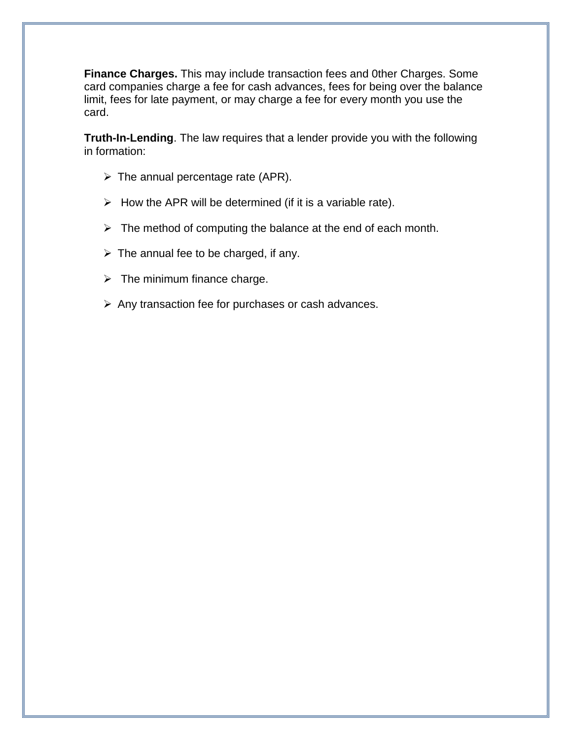**Finance Charges.** This may include transaction fees and 0ther Charges. Some card companies charge a fee for cash advances, fees for being over the balance limit, fees for late payment, or may charge a fee for every month you use the card.

**Truth-In-Lending**. The law requires that a lender provide you with the following in formation:

- $\triangleright$  The annual percentage rate (APR).
- $\triangleright$  How the APR will be determined (if it is a variable rate).
- $\triangleright$  The method of computing the balance at the end of each month.
- $\triangleright$  The annual fee to be charged, if any.
- $\triangleright$  The minimum finance charge.
- $\triangleright$  Any transaction fee for purchases or cash advances.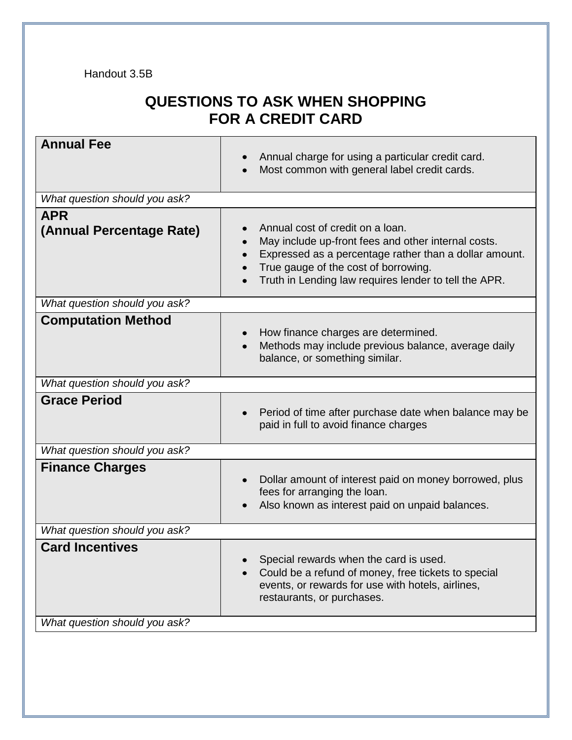## **QUESTIONS TO ASK WHEN SHOPPING FOR A CREDIT CARD**

| <b>Annual Fee</b>             | Annual charge for using a particular credit card.<br>Most common with general label credit cards.                                                                                                                                                               |
|-------------------------------|-----------------------------------------------------------------------------------------------------------------------------------------------------------------------------------------------------------------------------------------------------------------|
| What question should you ask? |                                                                                                                                                                                                                                                                 |
| <b>APR</b>                    |                                                                                                                                                                                                                                                                 |
| (Annual Percentage Rate)      | Annual cost of credit on a loan.<br>May include up-front fees and other internal costs.<br>Expressed as a percentage rather than a dollar amount.<br>True gauge of the cost of borrowing.<br>Truth in Lending law requires lender to tell the APR.<br>$\bullet$ |
| What question should you ask? |                                                                                                                                                                                                                                                                 |
| <b>Computation Method</b>     | How finance charges are determined.<br>Methods may include previous balance, average daily<br>balance, or something similar.                                                                                                                                    |
| What question should you ask? |                                                                                                                                                                                                                                                                 |
| <b>Grace Period</b>           | Period of time after purchase date when balance may be<br>paid in full to avoid finance charges                                                                                                                                                                 |
| What question should you ask? |                                                                                                                                                                                                                                                                 |
| <b>Finance Charges</b>        | Dollar amount of interest paid on money borrowed, plus<br>fees for arranging the loan.<br>Also known as interest paid on unpaid balances.                                                                                                                       |
| What question should you ask? |                                                                                                                                                                                                                                                                 |
| <b>Card Incentives</b>        | Special rewards when the card is used.<br>Could be a refund of money, free tickets to special<br>events, or rewards for use with hotels, airlines,<br>restaurants, or purchases.                                                                                |
| What question should you ask? |                                                                                                                                                                                                                                                                 |
|                               |                                                                                                                                                                                                                                                                 |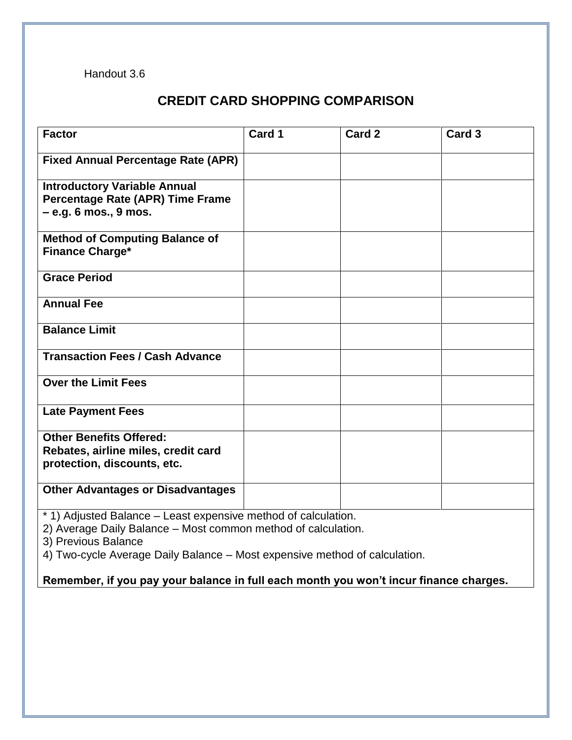#### **CREDIT CARD SHOPPING COMPARISON**

| <b>Factor</b>                                                  | Card 1 | Card 2 | Card <sub>3</sub> |  |  |  |
|----------------------------------------------------------------|--------|--------|-------------------|--|--|--|
| <b>Fixed Annual Percentage Rate (APR)</b>                      |        |        |                   |  |  |  |
|                                                                |        |        |                   |  |  |  |
| <b>Introductory Variable Annual</b>                            |        |        |                   |  |  |  |
| Percentage Rate (APR) Time Frame<br>$-$ e.g. 6 mos., 9 mos.    |        |        |                   |  |  |  |
|                                                                |        |        |                   |  |  |  |
| <b>Method of Computing Balance of</b>                          |        |        |                   |  |  |  |
| <b>Finance Charge*</b>                                         |        |        |                   |  |  |  |
| <b>Grace Period</b>                                            |        |        |                   |  |  |  |
| <b>Annual Fee</b>                                              |        |        |                   |  |  |  |
|                                                                |        |        |                   |  |  |  |
| <b>Balance Limit</b>                                           |        |        |                   |  |  |  |
| <b>Transaction Fees / Cash Advance</b>                         |        |        |                   |  |  |  |
|                                                                |        |        |                   |  |  |  |
| <b>Over the Limit Fees</b>                                     |        |        |                   |  |  |  |
|                                                                |        |        |                   |  |  |  |
| <b>Late Payment Fees</b>                                       |        |        |                   |  |  |  |
| <b>Other Benefits Offered:</b>                                 |        |        |                   |  |  |  |
| Rebates, airline miles, credit card                            |        |        |                   |  |  |  |
| protection, discounts, etc.                                    |        |        |                   |  |  |  |
| <b>Other Advantages or Disadvantages</b>                       |        |        |                   |  |  |  |
|                                                                |        |        |                   |  |  |  |
| * 1) Adjusted Balance – Least expensive method of calculation. |        |        |                   |  |  |  |

2) Average Daily Balance – Most common method of calculation.

3) Previous Balance

4) Two-cycle Average Daily Balance – Most expensive method of calculation.

**Remember, if you pay your balance in full each month you won't incur finance charges.**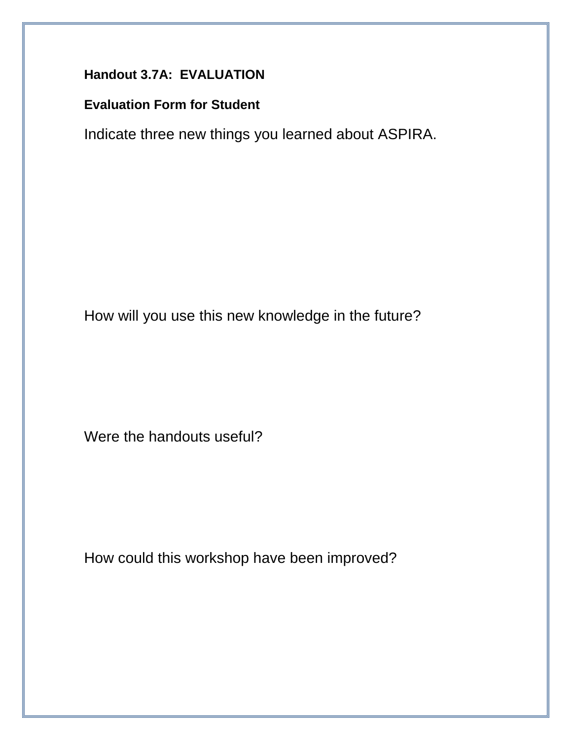### **Handout 3.7A: EVALUATION**

#### **Evaluation Form for Student**

Indicate three new things you learned about ASPIRA.

How will you use this new knowledge in the future?

Were the handouts useful?

How could this workshop have been improved?